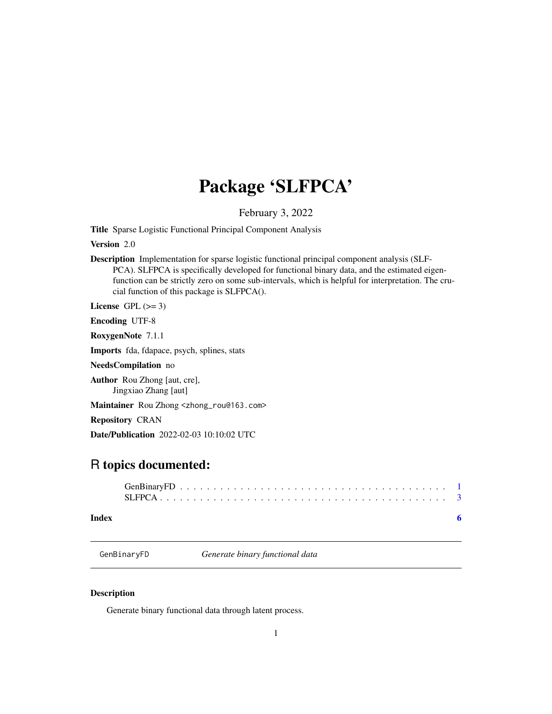## <span id="page-0-0"></span>Package 'SLFPCA'

February 3, 2022

Title Sparse Logistic Functional Principal Component Analysis

Version 2.0

Description Implementation for sparse logistic functional principal component analysis (SLF-PCA). SLFPCA is specifically developed for functional binary data, and the estimated eigenfunction can be strictly zero on some sub-intervals, which is helpful for interpretation. The crucial function of this package is SLFPCA().

License GPL  $(>= 3)$ 

Encoding UTF-8

RoxygenNote 7.1.1

Imports fda, fdapace, psych, splines, stats

NeedsCompilation no

Author Rou Zhong [aut, cre], Jingxiao Zhang [aut]

Maintainer Rou Zhong <zhong\_rou@163.com>

Repository CRAN

Date/Publication 2022-02-03 10:10:02 UTC

### R topics documented:

| Index |  |  |  |  |  |  |  |  |  |  |  |  |  |  |  |  |  |  |
|-------|--|--|--|--|--|--|--|--|--|--|--|--|--|--|--|--|--|--|

GenBinaryFD *Generate binary functional data*

#### Description

Generate binary functional data through latent process.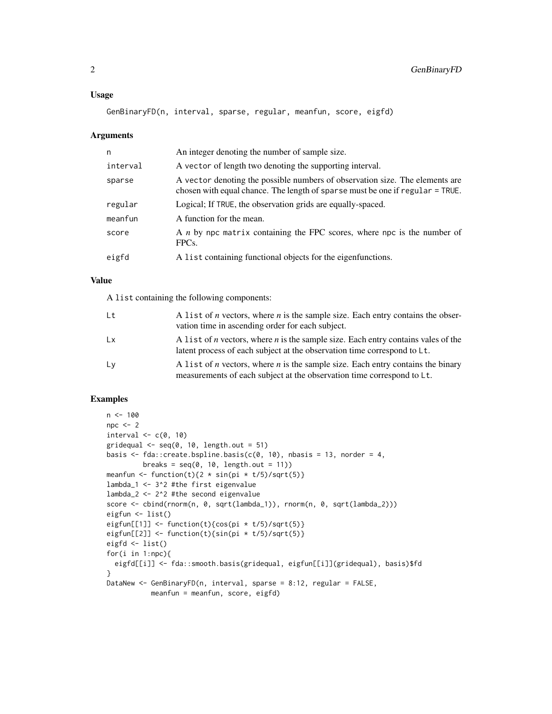GenBinaryFD(n, interval, sparse, regular, meanfun, score, eigfd)

#### Arguments

| n        | An integer denoting the number of sample size.                                                                                                                |
|----------|---------------------------------------------------------------------------------------------------------------------------------------------------------------|
| interval | A vector of length two denoting the supporting interval.                                                                                                      |
| sparse   | A vector denoting the possible numbers of observation size. The elements are<br>chosen with equal chance. The length of sparse must be one if regular = TRUE. |
| regular  | Logical; If TRUE, the observation grids are equally-spaced.                                                                                                   |
| meanfun  | A function for the mean.                                                                                                                                      |
| score    | A <i>n</i> by npc matrix containing the FPC scores, where npc is the number of<br>FPC <sub>s</sub> .                                                          |
| eigfd    | A list containing functional objects for the eigenfunctions.                                                                                                  |

#### Value

A list containing the following components:

| Lt        | A list of <i>n</i> vectors, where <i>n</i> is the sample size. Each entry contains the obser-<br>vation time in ascending order for each subject.                           |
|-----------|-----------------------------------------------------------------------------------------------------------------------------------------------------------------------------|
| <b>Lx</b> | A list of <i>n</i> vectors, where <i>n</i> is the sample size. Each entry contains vales of the<br>latent process of each subject at the observation time correspond to Lt. |
| Ly        | A list of <i>n</i> vectors, where <i>n</i> is the sample size. Each entry contains the binary<br>measurements of each subject at the observation time correspond to Lt.     |

#### Examples

```
n < -100npc <- 2
interval \leq c(0, 10)gridequal \leq seq(0, 10, length.out = 51)
basis \leq fda::create.bspline.basis(c(0, 10), nbasis = 13, norder = 4,
         breaks = seq(0, 10, length.out = 11))meanfun <- function(t){2 * sin(pi * t/5)/sqrt(5)}}
lambda_1 <- 3^2 #the first eigenvalue
lambda_2 <- 2^2 #the second eigenvalue
score <- cbind(rnorm(n, 0, sqrt(lambda_1)), rnorm(n, 0, sqrt(lambda_2)))
eigfun <- list()
eigfun[[1]] <- function(t){cos(pi * t/5)/sqrt(5)}
eigfun[[2]] <- function(t){sin(pi * t/5)/sqrt(5)}
eigfd <- list()
for(i in 1:npc){
  eigfd[[i]] <- fda::smooth.basis(gridequal, eigfun[[i]](gridequal), basis)$fd
}
DataNew <- GenBinaryFD(n, interval, sparse = 8:12, regular = FALSE,
           meanfun = meanfun, score, eigfd)
```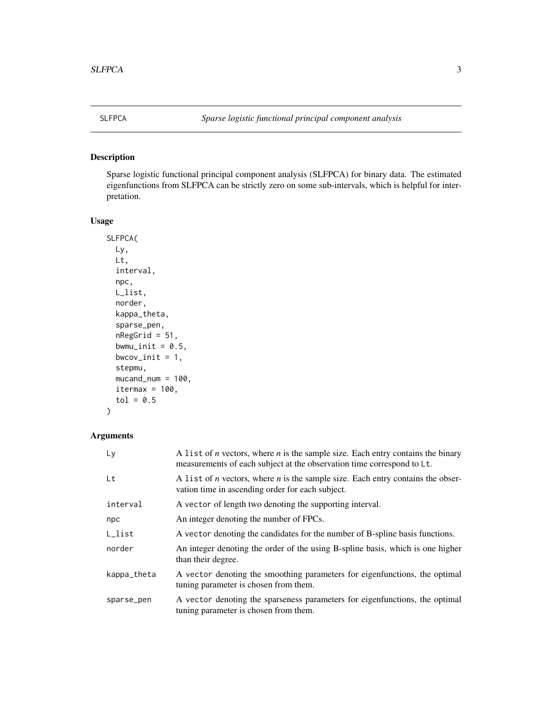<span id="page-2-0"></span>

#### Description

Sparse logistic functional principal component analysis (SLFPCA) for binary data. The estimated eigenfunctions from SLFPCA can be strictly zero on some sub-intervals, which is helpful for interpretation.

#### Usage

```
SLFPCA(
 Ly,
 Lt,
  interval,
  npc,
 L_list,
  norder,
  kappa_theta,
  sparse_pen,
  nRegGrid = 51,bwmu_init = 0.5,
  bwcov_init = 1,
  stepmu,
 mucand_num = 100,
  itermax = 100,
  tol = 0.5)
```
#### Arguments

| Ly               | A list of <i>n</i> vectors, where <i>n</i> is the sample size. Each entry contains the binary<br>measurements of each subject at the observation time correspond to Lt. |
|------------------|-------------------------------------------------------------------------------------------------------------------------------------------------------------------------|
| Lt               | A list of <i>n</i> vectors, where <i>n</i> is the sample size. Each entry contains the obser-<br>vation time in ascending order for each subject.                       |
| interval         | A vector of length two denoting the supporting interval.                                                                                                                |
| npc              | An integer denoting the number of FPCs.                                                                                                                                 |
| $L_{\rm -}$ list | A vector denoting the candidates for the number of B-spline basis functions.                                                                                            |
| norder           | An integer denoting the order of the using B-spline basis, which is one higher<br>than their degree.                                                                    |
| kappa_theta      | A vector denoting the smoothing parameters for eigenfunctions, the optimal<br>tuning parameter is chosen from them.                                                     |
| sparse_pen       | A vector denoting the sparseness parameters for eigenfunctions, the optimal<br>tuning parameter is chosen from them.                                                    |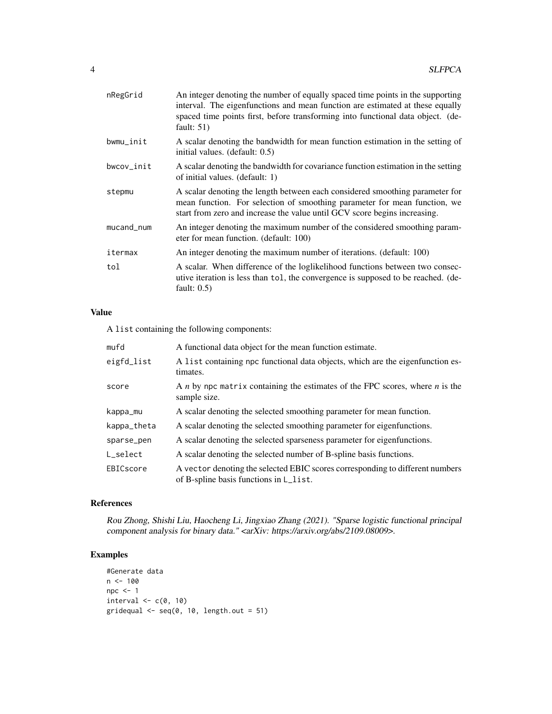| nRegGrid   | An integer denoting the number of equally spaced time points in the supporting<br>interval. The eigenfunctions and mean function are estimated at these equally<br>spaced time points first, before transforming into functional data object. (de-<br>fault: $51)$ |
|------------|--------------------------------------------------------------------------------------------------------------------------------------------------------------------------------------------------------------------------------------------------------------------|
| bwmu_init  | A scalar denoting the bandwidth for mean function estimation in the setting of<br>initial values. (default: 0.5)                                                                                                                                                   |
| bwcov_init | A scalar denoting the bandwidth for covariance function estimation in the setting<br>of initial values. (default: 1)                                                                                                                                               |
| stepmu     | A scalar denoting the length between each considered smoothing parameter for<br>mean function. For selection of smoothing parameter for mean function, we<br>start from zero and increase the value until GCV score begins increasing.                             |
| mucand_num | An integer denoting the maximum number of the considered smoothing param-<br>eter for mean function. (default: 100)                                                                                                                                                |
| itermax    | An integer denoting the maximum number of iterations. (default: 100)                                                                                                                                                                                               |
| tol        | A scalar. When difference of the loglikelihood functions between two consec-<br>utive iteration is less than tol, the convergence is supposed to be reached. (de-<br>fault: $0.5$ )                                                                                |

#### Value

A list containing the following components:

| mufd        | A functional data object for the mean function estimate.                                                                |
|-------------|-------------------------------------------------------------------------------------------------------------------------|
| eigfd_list  | A list containing npc functional data objects, which are the eigenfunction es-<br>timates.                              |
| score       | A <i>n</i> by npc matrix containing the estimates of the FPC scores, where <i>n</i> is the<br>sample size.              |
| kappa_mu    | A scalar denoting the selected smoothing parameter for mean function.                                                   |
| kappa_theta | A scalar denoting the selected smoothing parameter for eigenfunctions.                                                  |
| sparse_pen  | A scalar denoting the selected sparseness parameter for eigenfunctions.                                                 |
| L select    | A scalar denoting the selected number of B-spline basis functions.                                                      |
| EBICscore   | A vector denoting the selected EBIC scores corresponding to different numbers<br>of B-spline basis functions in L_list. |

#### References

Rou Zhong, Shishi Liu, Haocheng Li, Jingxiao Zhang (2021). "Sparse logistic functional principal component analysis for binary data." <arXiv: https://arxiv.org/abs/2109.08009>.

#### Examples

```
#Generate data
n < - 100npc <- 1
interval \leq c(0, 10)gridequal \leq seq(0, 10, length.out = 51)
```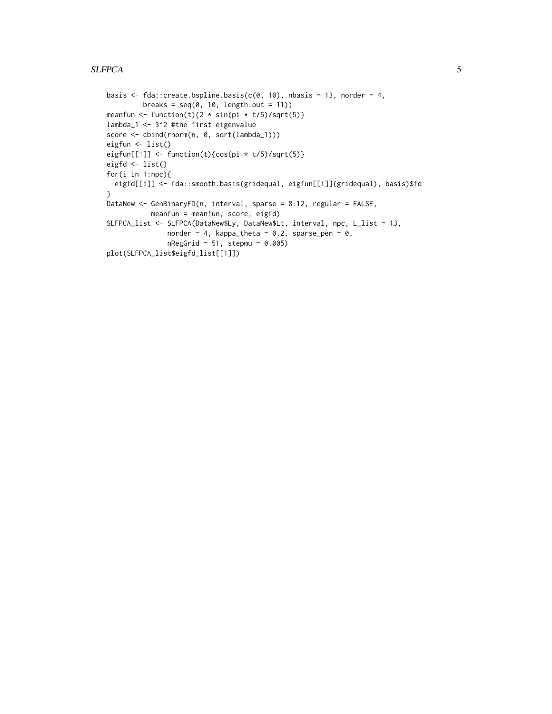#### SLFPCA 5

```
basis \leq fda::create.bspline.basis(c(0, 10), nbasis = 13, norder = 4,
        breaks = seq(0, 10, length.out = 11))meanfun <- function(t){2 * sin(pi * t/5)/sqrt(5)}}
lambda_1 <- 3^2 #the first eigenvalue
score <- cbind(rnorm(n, 0, sqrt(lambda_1)))
eigfun <- list()
eigfun[[1]] <- function(t){cos(pi * t/5)/sqrt(5)}}
eigfd <- list()
for(i in 1:npc){
  eigfd[[i]] <- fda::smooth.basis(gridequal, eigfun[[i]](gridequal), basis)$fd
}
DataNew <- GenBinaryFD(n, interval, sparse = 8:12, regular = FALSE,
          meanfun = meanfun, score, eigfd)
SLFPCA_list <- SLFPCA(DataNew$Ly, DataNew$Lt, interval, npc, L_list = 13,
               norder = 4, kappa_theta = 0.2, sparse_pen = 0,
               nRegGrid = 51, stepmu = 0.005)
plot(SLFPCA_list$eigfd_list[[1]])
```